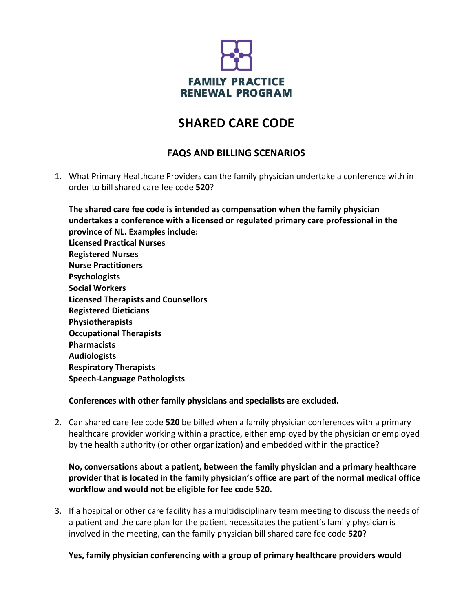

# **SHARED CARE CODE**

# **FAQS AND BILLING SCENARIOS**

1. What Primary Healthcare Providers can the family physician undertake a conference with in order to bill shared care fee code **520**?

**The shared care fee code is intended as compensation when the family physician undertakes a conference with a licensed or regulated primary care professional in the province of NL. Examples include: Licensed Practical Nurses Registered Nurses Nurse Practitioners Psychologists Social Workers Licensed Therapists and Counsellors Registered Dieticians Physiotherapists Occupational Therapists Pharmacists Audiologists Respiratory Therapists Speech‐Language Pathologists**

## **Conferences with other family physicians and specialists are excluded.**

2. Can shared care fee code **520** be billed when a family physician conferences with a primary healthcare provider working within a practice, either employed by the physician or employed by the health authority (or other organization) and embedded within the practice?

**No, conversations about a patient, between the family physician and a primary healthcare provider that is located in the family physician's office are part of the normal medical office workflow and would not be eligible for fee code 520.**

3. If a hospital or other care facility has a multidisciplinary team meeting to discuss the needs of a patient and the care plan for the patient necessitates the patient's family physician is involved in the meeting, can the family physician bill shared care fee code **520**?

## **Yes, family physician conferencing with a group of primary healthcare providers would**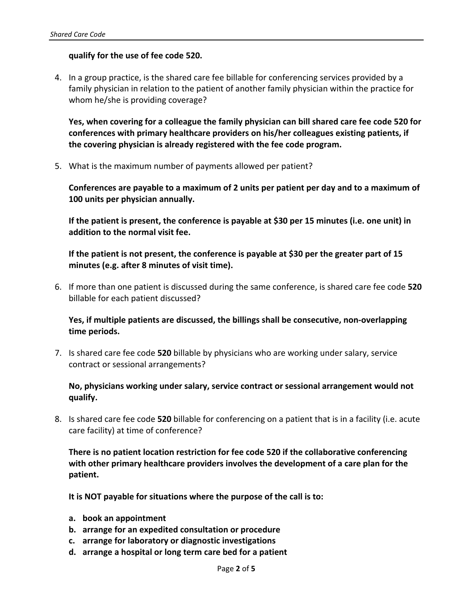#### **qualify for the use of fee code 520.**

4. In a group practice, is the shared care fee billable for conferencing services provided by a family physician in relation to the patient of another family physician within the practice for whom he/she is providing coverage?

**Yes, when covering for a colleague the family physician can bill shared care fee code 520 for conferences with primary healthcare providers on his/her colleagues existing patients, if the covering physician is already registered with the fee code program.** 

5. What is the maximum number of payments allowed per patient?

**Conferences are payable to a maximum of 2 units per patient per day and to a maximum of 100 units per physician annually.** 

**If the patient is present, the conference is payable at \$30 per 15 minutes (i.e. one unit) in addition to the normal visit fee.**

**If the patient is not present, the conference is payable at \$30 per the greater part of 15 minutes (e.g. after 8 minutes of visit time).** 

6. If more than one patient is discussed during the same conference, is shared care fee code **520** billable for each patient discussed?

**Yes, if multiple patients are discussed, the billings shall be consecutive, non‐overlapping time periods.** 

7. Is shared care fee code **520** billable by physicians who are working under salary, service contract or sessional arrangements?

#### **No, physicians working under salary, service contract or sessional arrangement would not qualify.**

8. Is shared care fee code **520** billable for conferencing on a patient that is in a facility (i.e. acute care facility) at time of conference?

**There is no patient location restriction for fee code 520 if the collaborative conferencing with other primary healthcare providers involves the development of a care plan for the patient.**

**It is NOT payable for situations where the purpose of the call is to:**

- **a. book an appointment**
- **b. arrange for an expedited consultation or procedure**
- **c. arrange for laboratory or diagnostic investigations**
- **d. arrange a hospital or long term care bed for a patient**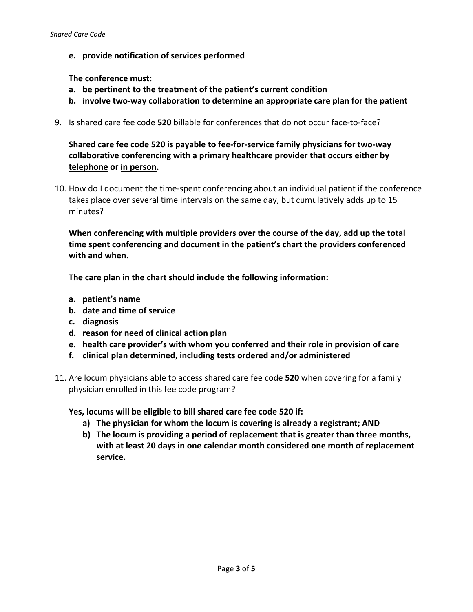**e. provide notification of services performed**

#### **The conference must:**

- **a. be pertinent to the treatment of the patient's current condition**
- **b. involve two‐way collaboration to determine an appropriate care plan for the patient**
- 9. Is shared care fee code **520** billable for conferences that do not occur face‐to‐face?

**Shared care fee code 520 is payable to fee‐for‐service family physicians for two‐way collaborative conferencing with a primary healthcare provider that occurs either by telephone or in person.** 

10. How do I document the time‐spent conferencing about an individual patient if the conference takes place over several time intervals on the same day, but cumulatively adds up to 15 minutes?

**When conferencing with multiple providers over the course of the day, add up the total time spent conferencing and document in the patient's chart the providers conferenced with and when.** 

**The care plan in the chart should include the following information:**

- **a. patient's name**
- **b. date and time of service**
- **c. diagnosis**
- **d. reason for need of clinical action plan**
- **e. health care provider's with whom you conferred and their role in provision of care**
- **f. clinical plan determined, including tests ordered and/or administered**
- 11. Are locum physicians able to access shared care fee code **520** when covering for a family physician enrolled in this fee code program?

**Yes, locums will be eligible to bill shared care fee code 520 if:**

- **a) The physician for whom the locum is covering is already a registrant; AND**
- **b) The locum is providing a period of replacement that is greater than three months, with at least 20 days in one calendar month considered one month of replacement service.**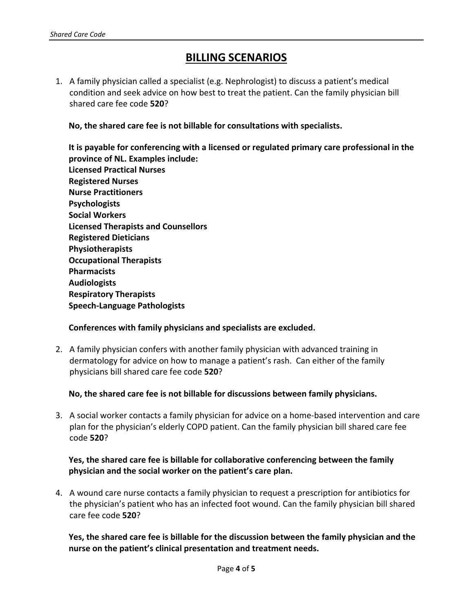# **BILLING SCENARIOS**

1. A family physician called a specialist (e.g. Nephrologist) to discuss a patient's medical condition and seek advice on how best to treat the patient. Can the family physician bill shared care fee code **520**?

**No, the shared care fee is not billable for consultations with specialists.** 

**It is payable for conferencing with a licensed or regulated primary care professional in the province of NL. Examples include: Licensed Practical Nurses Registered Nurses Nurse Practitioners Psychologists Social Workers Licensed Therapists and Counsellors Registered Dieticians Physiotherapists Occupational Therapists Pharmacists Audiologists Respiratory Therapists Speech‐Language Pathologists**

#### **Conferences with family physicians and specialists are excluded.**

2. A family physician confers with another family physician with advanced training in dermatology for advice on how to manage a patient's rash. Can either of the family physicians bill shared care fee code **520**?

**No, the shared care fee is not billable for discussions between family physicians.**

3. A social worker contacts a family physician for advice on a home‐based intervention and care plan for the physician's elderly COPD patient. Can the family physician bill shared care fee code **520**?

## **Yes, the shared care fee is billable for collaborative conferencing between the family physician and the social worker on the patient's care plan.**

4. A wound care nurse contacts a family physician to request a prescription for antibiotics for the physician's patient who has an infected foot wound. Can the family physician bill shared care fee code **520**?

**Yes, the shared care fee is billable for the discussion between the family physician and the nurse on the patient's clinical presentation and treatment needs.**